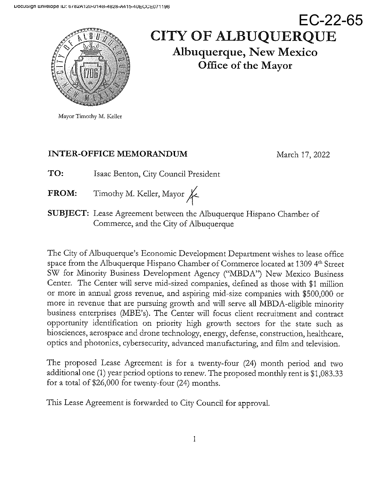

# EC-22-65 **CITY OF ALBUQUERQUE Albuquerque, New Mexico** Office of the Mayor

Mayor Timothy M. Keller

# **INTER-OFFICE MEMORANDUM**

March 17, 2022

TO: Isaac Benton, City Council President

- Timothy M. Keller, Mayor **FROM:**
- SUBJECT: Lease Agreement between the Albuquerque Hispano Chamber of Commerce, and the City of Albuquerque

The City of Albuquerque's Economic Development Department wishes to lease office space from the Albuquerque Hispano Chamber of Commerce located at 1309 4<sup>th</sup> Street SW for Minority Business Development Agency ("MBDA") New Mexico Business Center. The Center will serve mid-sized companies, defined as those with \$1 million or more in annual gross revenue, and aspiring mid-size companies with \$500,000 or more in revenue that are pursuing growth and will serve all MBDA-eligible minority business enterprises (MBE's). The Center will focus client recruitment and contract opportunity identification on priority high growth sectors for the state such as biosciences, aerospace and drone technology, energy, defense, construction, healthcare, optics and photonics, cybersecurity, advanced manufacturing, and film and television.

The proposed Lease Agreement is for a twenty-four (24) month period and two additional one (1) year period options to renew. The proposed monthly rent is \$1,083.33 for a total of  $$26,000$  for twenty-four (24) months.

This Lease Agreement is forwarded to City Council for approval.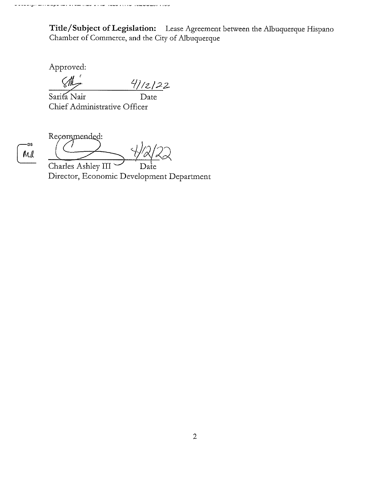Title/Subject of Legislation: Lease Agreement between the Albuquerque Hispano Chamber of Commerce, and the City of Albuquerque

Approved:

 $4/12122$  $\overline{Date}$ 

Sarita Nair Chief Administrative Officer

-DS M

Recommended:  $\overline{\mathcal{F}}$ 

Charles Ashley III Director, Economic Development Department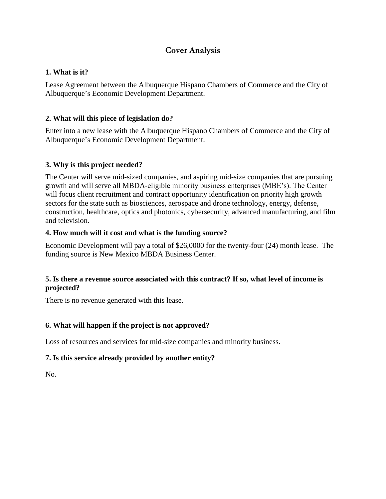# **Cover Analysis**

#### **1. What is it?**

Lease Agreement between the Albuquerque Hispano Chambers of Commerce and the City of Albuquerque's Economic Development Department.

#### **2. What will this piece of legislation do?**

Enter into a new lease with the Albuquerque Hispano Chambers of Commerce and the City of Albuquerque's Economic Development Department.

#### **3. Why is this project needed?**

The Center will serve mid-sized companies, and aspiring mid-size companies that are pursuing growth and will serve all MBDA-eligible minority business enterprises (MBE's). The Center will focus client recruitment and contract opportunity identification on priority high growth sectors for the state such as biosciences, aerospace and drone technology, energy, defense, construction, healthcare, optics and photonics, cybersecurity, advanced manufacturing, and film and television.

#### **4. How much will it cost and what is the funding source?**

Economic Development will pay a total of \$26,0000 for the twenty-four (24) month lease. The funding source is New Mexico MBDA Business Center.

#### **5. Is there a revenue source associated with this contract? If so, what level of income is projected?**

There is no revenue generated with this lease.

#### **6. What will happen if the project is not approved?**

Loss of resources and services for mid-size companies and minority business.

#### **7. Is this service already provided by another entity?**

No.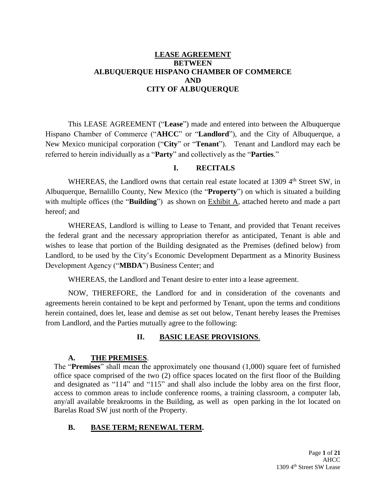#### **LEASE AGREEMENT BETWEEN ALBUQUERQUE HISPANO CHAMBER OF COMMERCE AND CITY OF ALBUQUERQUE**

This LEASE AGREEMENT ("**Lease**") made and entered into between the Albuquerque Hispano Chamber of Commerce ("**AHCC**" or "**Landlord**"), and the City of Albuquerque, a New Mexico municipal corporation ("**City**" or "**Tenant**"). Tenant and Landlord may each be referred to herein individually as a "**Party**" and collectively as the "**Parties**."

#### **I. RECITALS**

WHEREAS, the Landlord owns that certain real estate located at 1309 4<sup>th</sup> Street SW, in Albuquerque, Bernalillo County, New Mexico (the "**Property**") on which is situated a building with multiple offices (the "**Building**") as shown on Exhibit A, attached hereto and made a part hereof; and

WHEREAS, Landlord is willing to Lease to Tenant, and provided that Tenant receives the federal grant and the necessary appropriation therefor as anticipated, Tenant is able and wishes to lease that portion of the Building designated as the Premises (defined below) from Landlord, to be used by the City's Economic Development Department as a Minority Business Development Agency ("**MBDA**") Business Center; and

WHEREAS, the Landlord and Tenant desire to enter into a lease agreement.

NOW, THEREFORE, the Landlord for and in consideration of the covenants and agreements herein contained to be kept and performed by Tenant, upon the terms and conditions herein contained, does let, lease and demise as set out below, Tenant hereby leases the Premises from Landlord, and the Parties mutually agree to the following:

#### **II. BASIC LEASE PROVISIONS**.

#### **A. THE PREMISES**.

The "**Premises**" shall mean the approximately one thousand (1,000) square feet of furnished office space comprised of the two (2) office spaces located on the first floor of the Building and designated as "114" and "115" and shall also include the lobby area on the first floor, access to common areas to include conference rooms, a training classroom, a computer lab, any/all available breakrooms in the Building, as well as open parking in the lot located on Barelas Road SW just north of the Property.

#### **B. BASE TERM; RENEWAL TERM.**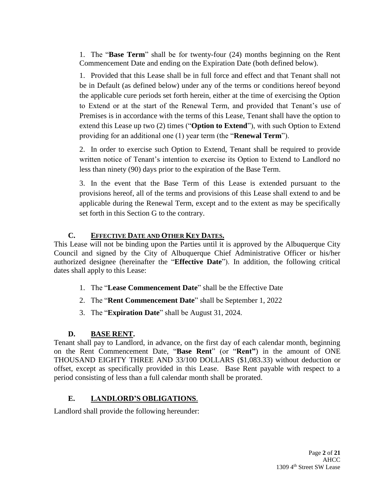1. The "**Base Term**" shall be for twenty-four (24) months beginning on the Rent Commencement Date and ending on the Expiration Date (both defined below).

1. Provided that this Lease shall be in full force and effect and that Tenant shall not be in Default (as defined below) under any of the terms or conditions hereof beyond the applicable cure periods set forth herein, either at the time of exercising the Option to Extend or at the start of the Renewal Term, and provided that Tenant's use of Premises is in accordance with the terms of this Lease, Tenant shall have the option to extend this Lease up two (2) times ("**Option to Extend**"), with such Option to Extend providing for an additional one (1) year term (the "**Renewal Term**").

2. In order to exercise such Option to Extend, Tenant shall be required to provide written notice of Tenant's intention to exercise its Option to Extend to Landlord no less than ninety (90) days prior to the expiration of the Base Term.

3. In the event that the Base Term of this Lease is extended pursuant to the provisions hereof, all of the terms and provisions of this Lease shall extend to and be applicable during the Renewal Term, except and to the extent as may be specifically set forth in this Section G to the contrary.

# **C. EFFECTIVE DATE AND OTHER KEY DATES.**

This Lease will not be binding upon the Parties until it is approved by the Albuquerque City Council and signed by the City of Albuquerque Chief Administrative Officer or his/her authorized designee (hereinafter the "**Effective Date**"). In addition, the following critical dates shall apply to this Lease:

- 1. The "**Lease Commencement Date**" shall be the Effective Date
- 2. The "**Rent Commencement Date**" shall be September 1, 2022
- 3. The "**Expiration Date**" shall be August 31, 2024.

# **D. BASE RENT.**

Tenant shall pay to Landlord, in advance, on the first day of each calendar month, beginning on the Rent Commencement Date, "**Base Rent**" (or "**Rent"**) in the amount of ONE THOUSAND EIGHTY THREE AND 33/100 DOLLARS (\$1,083.33) without deduction or offset, except as specifically provided in this Lease. Base Rent payable with respect to a period consisting of less than a full calendar month shall be prorated.

# **E. LANDLORD'S OBLIGATIONS**.

Landlord shall provide the following hereunder: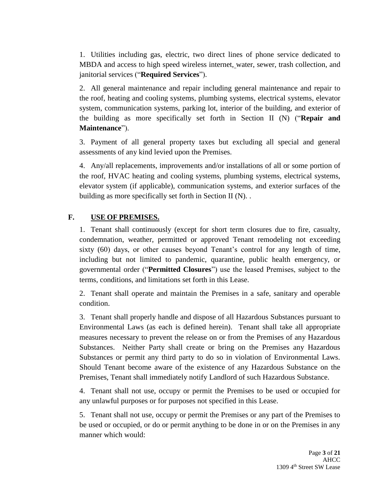1. Utilities including gas, electric, two direct lines of phone service dedicated to MBDA and access to high speed wireless internet, water, sewer, trash collection, and janitorial services ("**Required Services**").

2. All general maintenance and repair including general maintenance and repair to the roof, heating and cooling systems, plumbing systems, electrical systems, elevator system, communication systems, parking lot, interior of the building, and exterior of the building as more specifically set forth in Section II (N) ("**Repair and Maintenance**").

3. Payment of all general property taxes but excluding all special and general assessments of any kind levied upon the Premises.

4. Any/all replacements, improvements and/or installations of all or some portion of the roof, HVAC heating and cooling systems, plumbing systems, electrical systems, elevator system (if applicable), communication systems, and exterior surfaces of the building as more specifically set forth in Section II (N). .

### **F. USE OF PREMISES.**

1. Tenant shall continuously (except for short term closures due to fire, casualty, condemnation, weather, permitted or approved Tenant remodeling not exceeding sixty (60) days, or other causes beyond Tenant's control for any length of time, including but not limited to pandemic, quarantine, public health emergency, or governmental order ("**Permitted Closures**") use the leased Premises, subject to the terms, conditions, and limitations set forth in this Lease.

2. Tenant shall operate and maintain the Premises in a safe, sanitary and operable condition.

3. Tenant shall properly handle and dispose of all Hazardous Substances pursuant to Environmental Laws (as each is defined herein). Tenant shall take all appropriate measures necessary to prevent the release on or from the Premises of any Hazardous Substances. Neither Party shall create or bring on the Premises any Hazardous Substances or permit any third party to do so in violation of Environmental Laws. Should Tenant become aware of the existence of any Hazardous Substance on the Premises, Tenant shall immediately notify Landlord of such Hazardous Substance.

4. Tenant shall not use, occupy or permit the Premises to be used or occupied for any unlawful purposes or for purposes not specified in this Lease.

5. Tenant shall not use, occupy or permit the Premises or any part of the Premises to be used or occupied, or do or permit anything to be done in or on the Premises in any manner which would: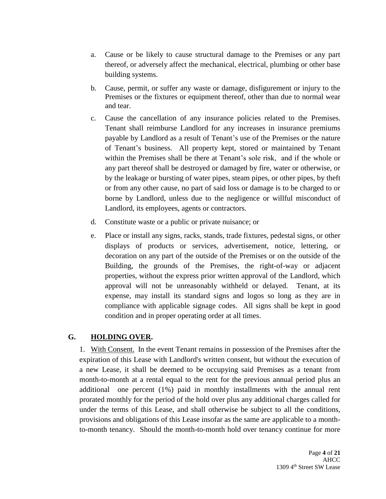- a. Cause or be likely to cause structural damage to the Premises or any part thereof, or adversely affect the mechanical, electrical, plumbing or other base building systems.
- b. Cause, permit, or suffer any waste or damage, disfigurement or injury to the Premises or the fixtures or equipment thereof, other than due to normal wear and tear.
- c. Cause the cancellation of any insurance policies related to the Premises. Tenant shall reimburse Landlord for any increases in insurance premiums payable by Landlord as a result of Tenant's use of the Premises or the nature of Tenant's business. All property kept, stored or maintained by Tenant within the Premises shall be there at Tenant's sole risk, and if the whole or any part thereof shall be destroyed or damaged by fire, water or otherwise, or by the leakage or bursting of water pipes, steam pipes, or other pipes, by theft or from any other cause, no part of said loss or damage is to be charged to or borne by Landlord, unless due to the negligence or willful misconduct of Landlord, its employees, agents or contractors.
- d. Constitute waste or a public or private nuisance; or
- e. Place or install any signs, racks, stands, trade fixtures, pedestal signs, or other displays of products or services, advertisement, notice, lettering, or decoration on any part of the outside of the Premises or on the outside of the Building, the grounds of the Premises, the right-of-way or adjacent properties, without the express prior written approval of the Landlord, which approval will not be unreasonably withheld or delayed. Tenant, at its expense, may install its standard signs and logos so long as they are in compliance with applicable signage codes. All signs shall be kept in good condition and in proper operating order at all times.

#### **G. HOLDING OVER.**

1. With Consent. In the event Tenant remains in possession of the Premises after the expiration of this Lease with Landlord's written consent, but without the execution of a new Lease, it shall be deemed to be occupying said Premises as a tenant from month-to-month at a rental equal to the rent for the previous annual period plus an additional one percent (1%) paid in monthly installments with the annual rent prorated monthly for the period of the hold over plus any additional charges called for under the terms of this Lease, and shall otherwise be subject to all the conditions, provisions and obligations of this Lease insofar as the same are applicable to a monthto-month tenancy. Should the month-to-month hold over tenancy continue for more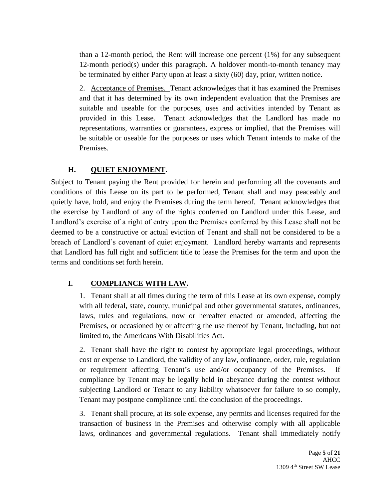than a 12-month period, the Rent will increase one percent (1%) for any subsequent 12-month period(s) under this paragraph. A holdover month-to-month tenancy may be terminated by either Party upon at least a sixty (60) day, prior, written notice.

2. Acceptance of Premises. Tenant acknowledges that it has examined the Premises and that it has determined by its own independent evaluation that the Premises are suitable and useable for the purposes, uses and activities intended by Tenant as provided in this Lease. Tenant acknowledges that the Landlord has made no representations, warranties or guarantees, express or implied, that the Premises will be suitable or useable for the purposes or uses which Tenant intends to make of the Premises.

# **H. QUIET ENJOYMENT.**

Subject to Tenant paying the Rent provided for herein and performing all the covenants and conditions of this Lease on its part to be performed, Tenant shall and may peaceably and quietly have, hold, and enjoy the Premises during the term hereof. Tenant acknowledges that the exercise by Landlord of any of the rights conferred on Landlord under this Lease, and Landlord's exercise of a right of entry upon the Premises conferred by this Lease shall not be deemed to be a constructive or actual eviction of Tenant and shall not be considered to be a breach of Landlord's covenant of quiet enjoyment. Landlord hereby warrants and represents that Landlord has full right and sufficient title to lease the Premises for the term and upon the terms and conditions set forth herein.

# **I. COMPLIANCE WITH LAW.**

1. Tenant shall at all times during the term of this Lease at its own expense, comply with all federal, state, county, municipal and other governmental statutes, ordinances, laws, rules and regulations, now or hereafter enacted or amended, affecting the Premises, or occasioned by or affecting the use thereof by Tenant, including, but not limited to, the Americans With Disabilities Act.

2. Tenant shall have the right to contest by appropriate legal proceedings, without cost or expense to Landlord, the validity of any law, ordinance, order, rule, regulation or requirement affecting Tenant's use and/or occupancy of the Premises. If compliance by Tenant may be legally held in abeyance during the contest without subjecting Landlord or Tenant to any liability whatsoever for failure to so comply, Tenant may postpone compliance until the conclusion of the proceedings.

3. Tenant shall procure, at its sole expense, any permits and licenses required for the transaction of business in the Premises and otherwise comply with all applicable laws, ordinances and governmental regulations. Tenant shall immediately notify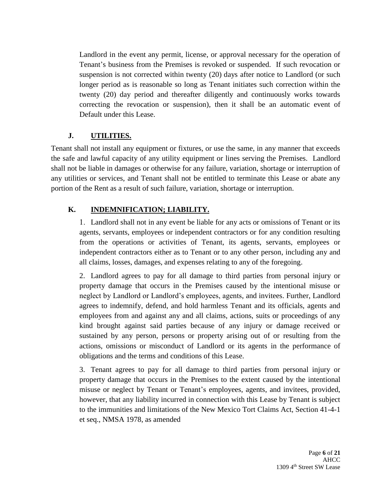Landlord in the event any permit, license, or approval necessary for the operation of Tenant's business from the Premises is revoked or suspended. If such revocation or suspension is not corrected within twenty (20) days after notice to Landlord (or such longer period as is reasonable so long as Tenant initiates such correction within the twenty (20) day period and thereafter diligently and continuously works towards correcting the revocation or suspension), then it shall be an automatic event of Default under this Lease.

# **J. UTILITIES.**

Tenant shall not install any equipment or fixtures, or use the same, in any manner that exceeds the safe and lawful capacity of any utility equipment or lines serving the Premises. Landlord shall not be liable in damages or otherwise for any failure, variation, shortage or interruption of any utilities or services, and Tenant shall not be entitled to terminate this Lease or abate any portion of the Rent as a result of such failure, variation, shortage or interruption.

# **K. INDEMNIFICATION; LIABILITY.**

1. Landlord shall not in any event be liable for any acts or omissions of Tenant or its agents, servants, employees or independent contractors or for any condition resulting from the operations or activities of Tenant, its agents, servants, employees or independent contractors either as to Tenant or to any other person, including any and all claims, losses, damages, and expenses relating to any of the foregoing.

2. Landlord agrees to pay for all damage to third parties from personal injury or property damage that occurs in the Premises caused by the intentional misuse or neglect by Landlord or Landlord's employees, agents, and invitees. Further, Landlord agrees to indemnify, defend, and hold harmless Tenant and its officials, agents and employees from and against any and all claims, actions, suits or proceedings of any kind brought against said parties because of any injury or damage received or sustained by any person, persons or property arising out of or resulting from the actions, omissions or misconduct of Landlord or its agents in the performance of obligations and the terms and conditions of this Lease.

3. Tenant agrees to pay for all damage to third parties from personal injury or property damage that occurs in the Premises to the extent caused by the intentional misuse or neglect by Tenant or Tenant's employees, agents, and invitees, provided, however, that any liability incurred in connection with this Lease by Tenant is subject to the immunities and limitations of the New Mexico Tort Claims Act, Section 41-4-1 et seq., NMSA 1978, as amended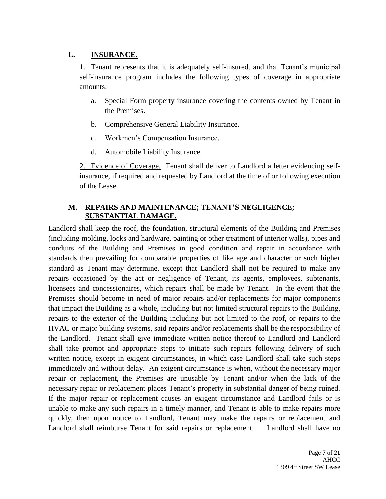#### **L. INSURANCE.**

1. Tenant represents that it is adequately self-insured, and that Tenant's municipal self-insurance program includes the following types of coverage in appropriate amounts:

- a. Special Form property insurance covering the contents owned by Tenant in the Premises.
- b. Comprehensive General Liability Insurance.
- c. Workmen's Compensation Insurance.
- d. Automobile Liability Insurance.

2. Evidence of Coverage. Tenant shall deliver to Landlord a letter evidencing selfinsurance, if required and requested by Landlord at the time of or following execution of the Lease.

#### **M. REPAIRS AND MAINTENANCE; TENANT'S NEGLIGENCE; SUBSTANTIAL DAMAGE.**

Landlord shall keep the roof, the foundation, structural elements of the Building and Premises (including molding, locks and hardware, painting or other treatment of interior walls), pipes and conduits of the Building and Premises in good condition and repair in accordance with standards then prevailing for comparable properties of like age and character or such higher standard as Tenant may determine, except that Landlord shall not be required to make any repairs occasioned by the act or negligence of Tenant, its agents, employees, subtenants, licensees and concessionaires, which repairs shall be made by Tenant. In the event that the Premises should become in need of major repairs and/or replacements for major components that impact the Building as a whole, including but not limited structural repairs to the Building, repairs to the exterior of the Building including but not limited to the roof, or repairs to the HVAC or major building systems, said repairs and/or replacements shall be the responsibility of the Landlord. Tenant shall give immediate written notice thereof to Landlord and Landlord shall take prompt and appropriate steps to initiate such repairs following delivery of such written notice, except in exigent circumstances, in which case Landlord shall take such steps immediately and without delay. An exigent circumstance is when, without the necessary major repair or replacement, the Premises are unusable by Tenant and/or when the lack of the necessary repair or replacement places Tenant's property in substantial danger of being ruined. If the major repair or replacement causes an exigent circumstance and Landlord fails or is unable to make any such repairs in a timely manner, and Tenant is able to make repairs more quickly, then upon notice to Landlord, Tenant may make the repairs or replacement and Landlord shall reimburse Tenant for said repairs or replacement. Landlord shall have no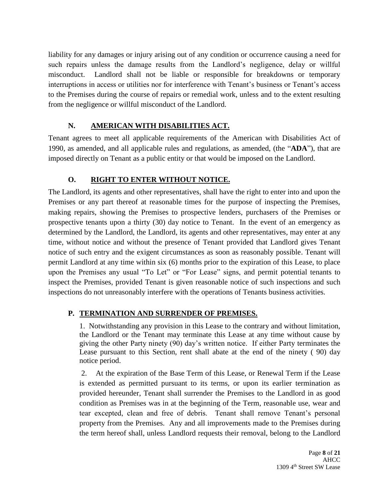liability for any damages or injury arising out of any condition or occurrence causing a need for such repairs unless the damage results from the Landlord's negligence, delay or willful misconduct. Landlord shall not be liable or responsible for breakdowns or temporary interruptions in access or utilities nor for interference with Tenant's business or Tenant's access to the Premises during the course of repairs or remedial work, unless and to the extent resulting from the negligence or willful misconduct of the Landlord.

# **N. AMERICAN WITH DISABILITIES ACT.**

Tenant agrees to meet all applicable requirements of the American with Disabilities Act of 1990, as amended, and all applicable rules and regulations, as amended, (the "**ADA**"), that are imposed directly on Tenant as a public entity or that would be imposed on the Landlord.

# **O. RIGHT TO ENTER WITHOUT NOTICE.**

The Landlord, its agents and other representatives, shall have the right to enter into and upon the Premises or any part thereof at reasonable times for the purpose of inspecting the Premises, making repairs, showing the Premises to prospective lenders, purchasers of the Premises or prospective tenants upon a thirty (30) day notice to Tenant. In the event of an emergency as determined by the Landlord, the Landlord, its agents and other representatives, may enter at any time, without notice and without the presence of Tenant provided that Landlord gives Tenant notice of such entry and the exigent circumstances as soon as reasonably possible. Tenant will permit Landlord at any time within six (6) months prior to the expiration of this Lease, to place upon the Premises any usual "To Let" or "For Lease" signs, and permit potential tenants to inspect the Premises, provided Tenant is given reasonable notice of such inspections and such inspections do not unreasonably interfere with the operations of Tenants business activities.

# **P. TERMINATION AND SURRENDER OF PREMISES.**

1. Notwithstanding any provision in this Lease to the contrary and without limitation, the Landlord or the Tenant may terminate this Lease at any time without cause by giving the other Party ninety (90) day's written notice. If either Party terminates the Lease pursuant to this Section, rent shall abate at the end of the ninety ( 90) day notice period.

2. At the expiration of the Base Term of this Lease, or Renewal Term if the Lease is extended as permitted pursuant to its terms, or upon its earlier termination as provided hereunder, Tenant shall surrender the Premises to the Landlord in as good condition as Premises was in at the beginning of the Term, reasonable use, wear and tear excepted, clean and free of debris. Tenant shall remove Tenant's personal property from the Premises. Any and all improvements made to the Premises during the term hereof shall, unless Landlord requests their removal, belong to the Landlord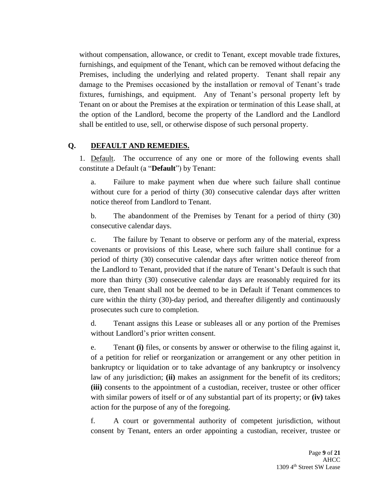without compensation, allowance, or credit to Tenant, except movable trade fixtures, furnishings, and equipment of the Tenant, which can be removed without defacing the Premises, including the underlying and related property. Tenant shall repair any damage to the Premises occasioned by the installation or removal of Tenant's trade fixtures, furnishings, and equipment. Any of Tenant's personal property left by Tenant on or about the Premises at the expiration or termination of this Lease shall, at the option of the Landlord, become the property of the Landlord and the Landlord shall be entitled to use, sell, or otherwise dispose of such personal property.

### **Q. DEFAULT AND REMEDIES.**

1. Default. The occurrence of any one or more of the following events shall constitute a Default (a "**Default**") by Tenant:

a. Failure to make payment when due where such failure shall continue without cure for a period of thirty (30) consecutive calendar days after written notice thereof from Landlord to Tenant.

b. The abandonment of the Premises by Tenant for a period of thirty (30) consecutive calendar days.

c. The failure by Tenant to observe or perform any of the material, express covenants or provisions of this Lease, where such failure shall continue for a period of thirty (30) consecutive calendar days after written notice thereof from the Landlord to Tenant, provided that if the nature of Tenant's Default is such that more than thirty (30) consecutive calendar days are reasonably required for its cure, then Tenant shall not be deemed to be in Default if Tenant commences to cure within the thirty (30)-day period, and thereafter diligently and continuously prosecutes such cure to completion.

d. Tenant assigns this Lease or subleases all or any portion of the Premises without Landlord's prior written consent.

e. Tenant **(i)** files, or consents by answer or otherwise to the filing against it, of a petition for relief or reorganization or arrangement or any other petition in bankruptcy or liquidation or to take advantage of any bankruptcy or insolvency law of any jurisdiction; **(ii)** makes an assignment for the benefit of its creditors; **(iii)** consents to the appointment of a custodian, receiver, trustee or other officer with similar powers of itself or of any substantial part of its property; or **(iv)** takes action for the purpose of any of the foregoing.

f. A court or governmental authority of competent jurisdiction, without consent by Tenant, enters an order appointing a custodian, receiver, trustee or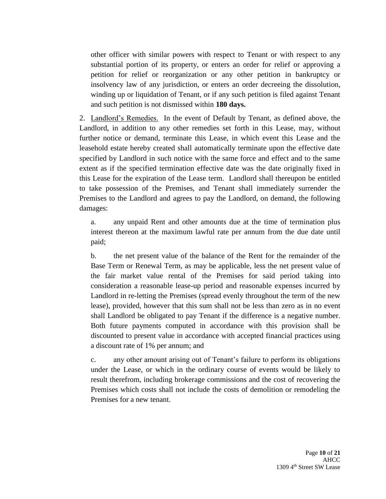other officer with similar powers with respect to Tenant or with respect to any substantial portion of its property, or enters an order for relief or approving a petition for relief or reorganization or any other petition in bankruptcy or insolvency law of any jurisdiction, or enters an order decreeing the dissolution, winding up or liquidation of Tenant, or if any such petition is filed against Tenant and such petition is not dismissed within **180 days.**

2. Landlord's Remedies. In the event of Default by Tenant, as defined above, the Landlord, in addition to any other remedies set forth in this Lease, may, without further notice or demand, terminate this Lease, in which event this Lease and the leasehold estate hereby created shall automatically terminate upon the effective date specified by Landlord in such notice with the same force and effect and to the same extent as if the specified termination effective date was the date originally fixed in this Lease for the expiration of the Lease term. Landlord shall thereupon be entitled to take possession of the Premises, and Tenant shall immediately surrender the Premises to the Landlord and agrees to pay the Landlord, on demand, the following damages:

a. any unpaid Rent and other amounts due at the time of termination plus interest thereon at the maximum lawful rate per annum from the due date until paid;

b. the net present value of the balance of the Rent for the remainder of the Base Term or Renewal Term, as may be applicable, less the net present value of the fair market value rental of the Premises for said period taking into consideration a reasonable lease-up period and reasonable expenses incurred by Landlord in re-letting the Premises (spread evenly throughout the term of the new lease), provided, however that this sum shall not be less than zero as in no event shall Landlord be obligated to pay Tenant if the difference is a negative number. Both future payments computed in accordance with this provision shall be discounted to present value in accordance with accepted financial practices using a discount rate of 1% per annum; and

c. any other amount arising out of Tenant's failure to perform its obligations under the Lease, or which in the ordinary course of events would be likely to result therefrom, including brokerage commissions and the cost of recovering the Premises which costs shall not include the costs of demolition or remodeling the Premises for a new tenant.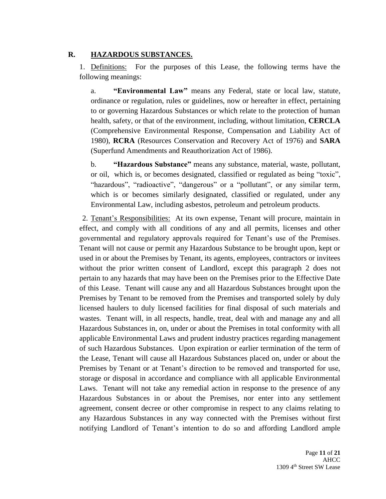#### **R. HAZARDOUS SUBSTANCES.**

1. Definitions: For the purposes of this Lease, the following terms have the following meanings:

a. **"Environmental Law"** means any Federal, state or local law, statute, ordinance or regulation, rules or guidelines, now or hereafter in effect, pertaining to or governing Hazardous Substances or which relate to the protection of human health, safety, or that of the environment, including, without limitation, **CERCLA**  (Comprehensive Environmental Response, Compensation and Liability Act of 1980), **RCRA** (Resources Conservation and Recovery Act of 1976) and **SARA**  (Superfund Amendments and Reauthorization Act of 1986).

b. **"Hazardous Substance"** means any substance, material, waste, pollutant, or oil, which is, or becomes designated, classified or regulated as being "toxic", "hazardous", "radioactive", "dangerous" or a "pollutant", or any similar term, which is or becomes similarly designated, classified or regulated, under any Environmental Law, including asbestos, petroleum and petroleum products.

2. Tenant's Responsibilities: At its own expense, Tenant will procure, maintain in effect, and comply with all conditions of any and all permits, licenses and other governmental and regulatory approvals required for Tenant's use of the Premises. Tenant will not cause or permit any Hazardous Substance to be brought upon, kept or used in or about the Premises by Tenant, its agents, employees, contractors or invitees without the prior written consent of Landlord, except this paragraph 2 does not pertain to any hazards that may have been on the Premises prior to the Effective Date of this Lease. Tenant will cause any and all Hazardous Substances brought upon the Premises by Tenant to be removed from the Premises and transported solely by duly licensed haulers to duly licensed facilities for final disposal of such materials and wastes. Tenant will, in all respects, handle, treat, deal with and manage any and all Hazardous Substances in, on, under or about the Premises in total conformity with all applicable Environmental Laws and prudent industry practices regarding management of such Hazardous Substances. Upon expiration or earlier termination of the term of the Lease, Tenant will cause all Hazardous Substances placed on, under or about the Premises by Tenant or at Tenant's direction to be removed and transported for use, storage or disposal in accordance and compliance with all applicable Environmental Laws. Tenant will not take any remedial action in response to the presence of any Hazardous Substances in or about the Premises, nor enter into any settlement agreement, consent decree or other compromise in respect to any claims relating to any Hazardous Substances in any way connected with the Premises without first notifying Landlord of Tenant's intention to do so and affording Landlord ample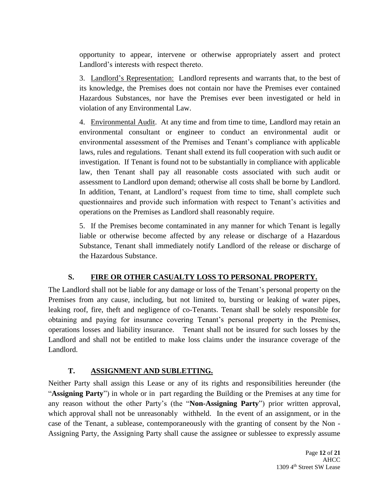opportunity to appear, intervene or otherwise appropriately assert and protect Landlord's interests with respect thereto.

3. Landlord's Representation: Landlord represents and warrants that, to the best of its knowledge, the Premises does not contain nor have the Premises ever contained Hazardous Substances, nor have the Premises ever been investigated or held in violation of any Environmental Law.

4. Environmental Audit. At any time and from time to time, Landlord may retain an environmental consultant or engineer to conduct an environmental audit or environmental assessment of the Premises and Tenant's compliance with applicable laws, rules and regulations. Tenant shall extend its full cooperation with such audit or investigation. If Tenant is found not to be substantially in compliance with applicable law, then Tenant shall pay all reasonable costs associated with such audit or assessment to Landlord upon demand; otherwise all costs shall be borne by Landlord. In addition, Tenant, at Landlord's request from time to time, shall complete such questionnaires and provide such information with respect to Tenant's activities and operations on the Premises as Landlord shall reasonably require.

5. If the Premises become contaminated in any manner for which Tenant is legally liable or otherwise become affected by any release or discharge of a Hazardous Substance, Tenant shall immediately notify Landlord of the release or discharge of the Hazardous Substance.

# **S. FIRE OR OTHER CASUALTY LOSS TO PERSONAL PROPERTY.**

The Landlord shall not be liable for any damage or loss of the Tenant's personal property on the Premises from any cause, including, but not limited to, bursting or leaking of water pipes, leaking roof, fire, theft and negligence of co-Tenants. Tenant shall be solely responsible for obtaining and paying for insurance covering Tenant's personal property in the Premises, operations losses and liability insurance. Tenant shall not be insured for such losses by the Landlord and shall not be entitled to make loss claims under the insurance coverage of the Landlord.

# **T. ASSIGNMENT AND SUBLETTING.**

Neither Party shall assign this Lease or any of its rights and responsibilities hereunder (the "**Assigning Party**") in whole or in part regarding the Building or the Premises at any time for any reason without the other Party's (the "**Non-Assigning Party**") prior written approval, which approval shall not be unreasonably withheld. In the event of an assignment, or in the case of the Tenant, a sublease, contemporaneously with the granting of consent by the Non - Assigning Party, the Assigning Party shall cause the assignee or sublessee to expressly assume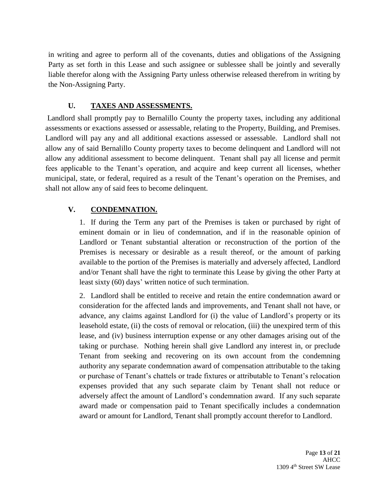in writing and agree to perform all of the covenants, duties and obligations of the Assigning Party as set forth in this Lease and such assignee or sublessee shall be jointly and severally liable therefor along with the Assigning Party unless otherwise released therefrom in writing by the Non-Assigning Party.

# **U. TAXES AND ASSESSMENTS.**

Landlord shall promptly pay to Bernalillo County the property taxes, including any additional assessments or exactions assessed or assessable, relating to the Property, Building, and Premises. Landlord will pay any and all additional exactions assessed or assessable. Landlord shall not allow any of said Bernalillo County property taxes to become delinquent and Landlord will not allow any additional assessment to become delinquent. Tenant shall pay all license and permit fees applicable to the Tenant's operation, and acquire and keep current all licenses, whether municipal, state, or federal, required as a result of the Tenant's operation on the Premises, and shall not allow any of said fees to become delinquent.

# **V. CONDEMNATION.**

1. If during the Term any part of the Premises is taken or purchased by right of eminent domain or in lieu of condemnation, and if in the reasonable opinion of Landlord or Tenant substantial alteration or reconstruction of the portion of the Premises is necessary or desirable as a result thereof, or the amount of parking available to the portion of the Premises is materially and adversely affected, Landlord and/or Tenant shall have the right to terminate this Lease by giving the other Party at least sixty (60) days' written notice of such termination.

2. Landlord shall be entitled to receive and retain the entire condemnation award or consideration for the affected lands and improvements, and Tenant shall not have, or advance, any claims against Landlord for (i) the value of Landlord's property or its leasehold estate, (ii) the costs of removal or relocation, (iii) the unexpired term of this lease, and (iv) business interruption expense or any other damages arising out of the taking or purchase. Nothing herein shall give Landlord any interest in, or preclude Tenant from seeking and recovering on its own account from the condemning authority any separate condemnation award of compensation attributable to the taking or purchase of Tenant's chattels or trade fixtures or attributable to Tenant's relocation expenses provided that any such separate claim by Tenant shall not reduce or adversely affect the amount of Landlord's condemnation award. If any such separate award made or compensation paid to Tenant specifically includes a condemnation award or amount for Landlord, Tenant shall promptly account therefor to Landlord.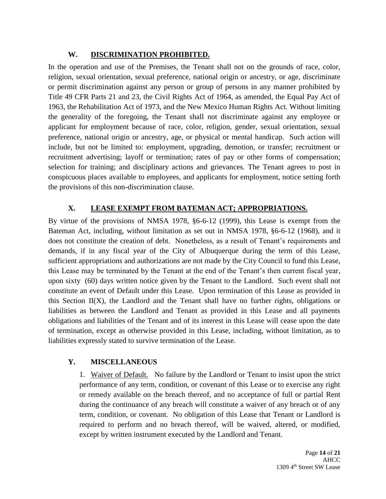### **W. DISCRIMINATION PROHIBITED.**

In the operation and use of the Premises, the Tenant shall not on the grounds of race, color, religion, sexual orientation, sexual preference, national origin or ancestry, or age, discriminate or permit discrimination against any person or group of persons in any manner prohibited by Title 49 CFR Parts 21 and 23, the Civil Rights Act of 1964, as amended, the Equal Pay Act of 1963, the Rehabilitation Act of 1973, and the New Mexico Human Rights Act. Without limiting the generality of the foregoing, the Tenant shall not discriminate against any employee or applicant for employment because of race, color, religion, gender, sexual orientation, sexual preference, national origin or ancestry, age, or physical or mental handicap. Such action will include, but not be limited to: employment, upgrading, demotion, or transfer; recruitment or recruitment advertising; layoff or termination; rates of pay or other forms of compensation; selection for training; and disciplinary actions and grievances. The Tenant agrees to post in conspicuous places available to employees, and applicants for employment, notice setting forth the provisions of this non-discrimination clause.

# **X. LEASE EXEMPT FROM BATEMAN ACT; APPROPRIATIONS.**

By virtue of the provisions of NMSA 1978, §6-6-12 (1999), this Lease is exempt from the Bateman Act, including, without limitation as set out in NMSA 1978, §6-6-12 (1968), and it does not constitute the creation of debt. Nonetheless, as a result of Tenant's requirements and demands, if in any fiscal year of the City of Albuquerque during the term of this Lease, sufficient appropriations and authorizations are not made by the City Council to fund this Lease, this Lease may be terminated by the Tenant at the end of the Tenant's then current fiscal year, upon sixty (60) days written notice given by the Tenant to the Landlord. Such event shall not constitute an event of Default under this Lease. Upon termination of this Lease as provided in this Section  $II(X)$ , the Landlord and the Tenant shall have no further rights, obligations or liabilities as between the Landlord and Tenant as provided in this Lease and all payments obligations and liabilities of the Tenant and of its interest in this Lease will cease upon the date of termination, except as otherwise provided in this Lease, including, without limitation, as to liabilities expressly stated to survive termination of the Lease.

# **Y. MISCELLANEOUS**

1. Waiver of Default. No failure by the Landlord or Tenant to insist upon the strict performance of any term, condition, or covenant of this Lease or to exercise any right or remedy available on the breach thereof, and no acceptance of full or partial Rent during the continuance of any breach will constitute a waiver of any breach or of any term, condition, or covenant. No obligation of this Lease that Tenant or Landlord is required to perform and no breach thereof, will be waived, altered, or modified, except by written instrument executed by the Landlord and Tenant.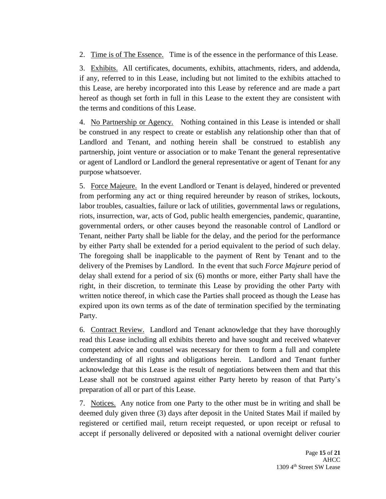2. Time is of The Essence. Time is of the essence in the performance of this Lease.

3. Exhibits. All certificates, documents, exhibits, attachments, riders, and addenda, if any, referred to in this Lease, including but not limited to the exhibits attached to this Lease, are hereby incorporated into this Lease by reference and are made a part hereof as though set forth in full in this Lease to the extent they are consistent with the terms and conditions of this Lease.

4. No Partnership or Agency. Nothing contained in this Lease is intended or shall be construed in any respect to create or establish any relationship other than that of Landlord and Tenant, and nothing herein shall be construed to establish any partnership, joint venture or association or to make Tenant the general representative or agent of Landlord or Landlord the general representative or agent of Tenant for any purpose whatsoever.

5. Force Majeure. In the event Landlord or Tenant is delayed, hindered or prevented from performing any act or thing required hereunder by reason of strikes, lockouts, labor troubles, casualties, failure or lack of utilities, governmental laws or regulations, riots, insurrection, war, acts of God, public health emergencies, pandemic, quarantine, governmental orders, or other causes beyond the reasonable control of Landlord or Tenant, neither Party shall be liable for the delay, and the period for the performance by either Party shall be extended for a period equivalent to the period of such delay. The foregoing shall be inapplicable to the payment of Rent by Tenant and to the delivery of the Premises by Landlord. In the event that such *Force Majeure* period of delay shall extend for a period of six (6) months or more, either Party shall have the right, in their discretion, to terminate this Lease by providing the other Party with written notice thereof, in which case the Parties shall proceed as though the Lease has expired upon its own terms as of the date of termination specified by the terminating Party.

6. Contract Review. Landlord and Tenant acknowledge that they have thoroughly read this Lease including all exhibits thereto and have sought and received whatever competent advice and counsel was necessary for them to form a full and complete understanding of all rights and obligations herein. Landlord and Tenant further acknowledge that this Lease is the result of negotiations between them and that this Lease shall not be construed against either Party hereto by reason of that Party's preparation of all or part of this Lease.

7. Notices. Any notice from one Party to the other must be in writing and shall be deemed duly given three (3) days after deposit in the United States Mail if mailed by registered or certified mail, return receipt requested, or upon receipt or refusal to accept if personally delivered or deposited with a national overnight deliver courier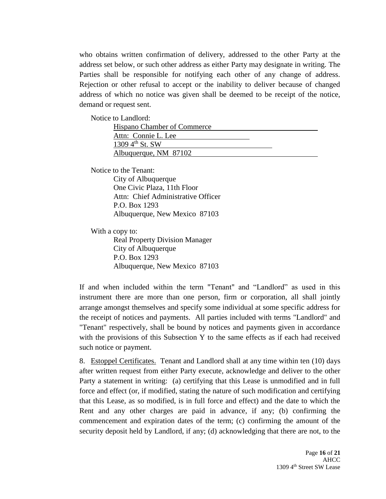who obtains written confirmation of delivery, addressed to the other Party at the address set below, or such other address as either Party may designate in writing. The Parties shall be responsible for notifying each other of any change of address. Rejection or other refusal to accept or the inability to deliver because of changed address of which no notice was given shall be deemed to be receipt of the notice, demand or request sent.

Notice to Landlord:

| <b>Hispano Chamber of Commerce</b> |  |
|------------------------------------|--|
| Attn: Connie L. Lee                |  |
| 1309 $4^{th}$ St. SW               |  |
| Albuquerque, NM 87102              |  |

Notice to the Tenant:

City of Albuquerque One Civic Plaza, 11th Floor Attn: Chief Administrative Officer P.O. Box 1293 Albuquerque, New Mexico 87103

With a copy to: Real Property Division Manager City of Albuquerque P.O. Box 1293 Albuquerque, New Mexico 87103

If and when included within the term "Tenant" and "Landlord" as used in this instrument there are more than one person, firm or corporation, all shall jointly arrange amongst themselves and specify some individual at some specific address for the receipt of notices and payments. All parties included with terms "Landlord" and "Tenant" respectively, shall be bound by notices and payments given in accordance with the provisions of this Subsection Y to the same effects as if each had received such notice or payment.

8. Estoppel Certificates. Tenant and Landlord shall at any time within ten (10) days after written request from either Party execute, acknowledge and deliver to the other Party a statement in writing: (a) certifying that this Lease is unmodified and in full force and effect (or, if modified, stating the nature of such modification and certifying that this Lease, as so modified, is in full force and effect) and the date to which the Rent and any other charges are paid in advance, if any; (b) confirming the commencement and expiration dates of the term; (c) confirming the amount of the security deposit held by Landlord, if any; (d) acknowledging that there are not, to the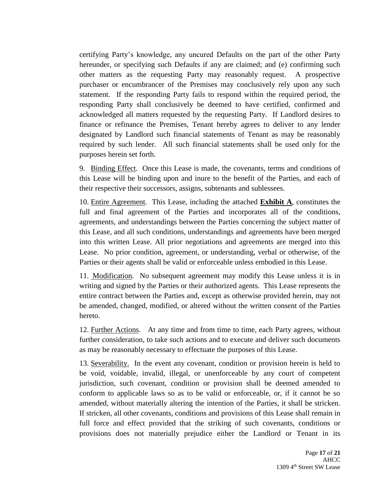certifying Party's knowledge, any uncured Defaults on the part of the other Party hereunder, or specifying such Defaults if any are claimed; and (e) confirming such other matters as the requesting Party may reasonably request. A prospective purchaser or encumbrancer of the Premises may conclusively rely upon any such statement. If the responding Party fails to respond within the required period, the responding Party shall conclusively be deemed to have certified, confirmed and acknowledged all matters requested by the requesting Party. If Landlord desires to finance or refinance the Premises, Tenant hereby agrees to deliver to any lender designated by Landlord such financial statements of Tenant as may be reasonably required by such lender. All such financial statements shall be used only for the purposes herein set forth.

9. Binding Effect. Once this Lease is made, the covenants, terms and conditions of this Lease will be binding upon and inure to the benefit of the Parties, and each of their respective their successors, assigns, subtenants and sublessees.

10. Entire Agreement. This Lease, including the attached **Exhibit A**, constitutes the full and final agreement of the Parties and incorporates all of the conditions, agreements, and understandings between the Parties concerning the subject matter of this Lease, and all such conditions, understandings and agreements have been merged into this written Lease. All prior negotiations and agreements are merged into this Lease. No prior condition, agreement, or understanding, verbal or otherwise, of the Parties or their agents shall be valid or enforceable unless embodied in this Lease.

11. Modification. No subsequent agreement may modify this Lease unless it is in writing and signed by the Parties or their authorized agents. This Lease represents the entire contract between the Parties and, except as otherwise provided herein, may not be amended, changed, modified, or altered without the written consent of the Parties hereto.

12. Further Actions. At any time and from time to time, each Party agrees, without further consideration, to take such actions and to execute and deliver such documents as may be reasonably necessary to effectuate the purposes of this Lease.

13. Severability. In the event any covenant, condition or provision herein is held to be void, voidable, invalid, illegal, or unenforceable by any court of competent jurisdiction, such covenant, condition or provision shall be deemed amended to conform to applicable laws so as to be valid or enforceable, or, if it cannot be so amended, without materially altering the intention of the Parties, it shall be stricken. If stricken, all other covenants, conditions and provisions of this Lease shall remain in full force and effect provided that the striking of such covenants, conditions or provisions does not materially prejudice either the Landlord or Tenant in its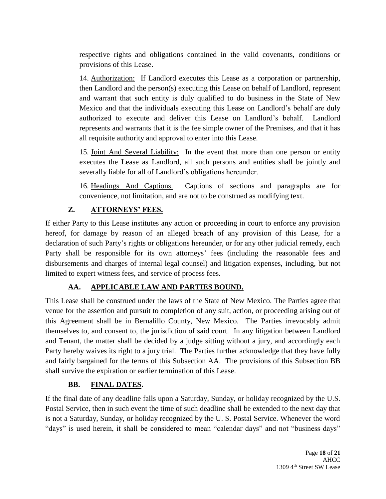respective rights and obligations contained in the valid covenants, conditions or provisions of this Lease.

14. Authorization: If Landlord executes this Lease as a corporation or partnership, then Landlord and the person(s) executing this Lease on behalf of Landlord, represent and warrant that such entity is duly qualified to do business in the State of New Mexico and that the individuals executing this Lease on Landlord's behalf are duly authorized to execute and deliver this Lease on Landlord's behalf. Landlord represents and warrants that it is the fee simple owner of the Premises, and that it has all requisite authority and approval to enter into this Lease.

15. Joint And Several Liability: In the event that more than one person or entity executes the Lease as Landlord, all such persons and entities shall be jointly and severally liable for all of Landlord's obligations hereunder.

16. Headings And Captions. Captions of sections and paragraphs are for convenience, not limitation, and are not to be construed as modifying text.

# **Z. ATTORNEYS' FEES.**

If either Party to this Lease institutes any action or proceeding in court to enforce any provision hereof, for damage by reason of an alleged breach of any provision of this Lease, for a declaration of such Party's rights or obligations hereunder, or for any other judicial remedy, each Party shall be responsible for its own attorneys' fees (including the reasonable fees and disbursements and charges of internal legal counsel) and litigation expenses, including, but not limited to expert witness fees, and service of process fees.

# **AA. APPLICABLE LAW AND PARTIES BOUND.**

This Lease shall be construed under the laws of the State of New Mexico. The Parties agree that venue for the assertion and pursuit to completion of any suit, action, or proceeding arising out of this Agreement shall be in Bernalillo County, New Mexico. The Parties irrevocably admit themselves to, and consent to, the jurisdiction of said court. In any litigation between Landlord and Tenant, the matter shall be decided by a judge sitting without a jury, and accordingly each Party hereby waives its right to a jury trial. The Parties further acknowledge that they have fully and fairly bargained for the terms of this Subsection AA. The provisions of this Subsection BB shall survive the expiration or earlier termination of this Lease.

# **BB. FINAL DATES.**

If the final date of any deadline falls upon a Saturday, Sunday, or holiday recognized by the U.S. Postal Service, then in such event the time of such deadline shall be extended to the next day that is not a Saturday, Sunday, or holiday recognized by the U. S. Postal Service. Whenever the word "days" is used herein, it shall be considered to mean "calendar days" and not "business days"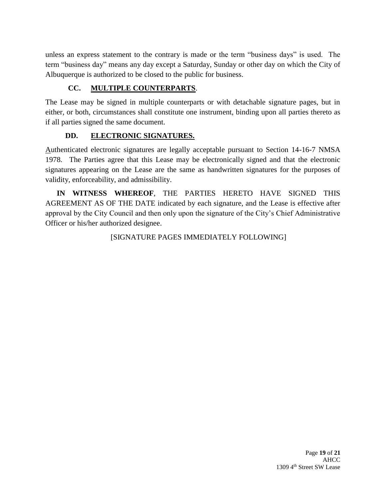unless an express statement to the contrary is made or the term "business days" is used. The term "business day" means any day except a Saturday, Sunday or other day on which the City of Albuquerque is authorized to be closed to the public for business.

# **CC. MULTIPLE COUNTERPARTS**.

The Lease may be signed in multiple counterparts or with detachable signature pages, but in either, or both, circumstances shall constitute one instrument, binding upon all parties thereto as if all parties signed the same document.

# **DD. ELECTRONIC SIGNATURES.**

Authenticated electronic signatures are legally acceptable pursuant to Section 14-16-7 NMSA 1978. The Parties agree that this Lease may be electronically signed and that the electronic signatures appearing on the Lease are the same as handwritten signatures for the purposes of validity, enforceability, and admissibility.

**IN WITNESS WHEREOF**, THE PARTIES HERETO HAVE SIGNED THIS AGREEMENT AS OF THE DATE indicated by each signature, and the Lease is effective after approval by the City Council and then only upon the signature of the City's Chief Administrative Officer or his/her authorized designee.

[SIGNATURE PAGES IMMEDIATELY FOLLOWING]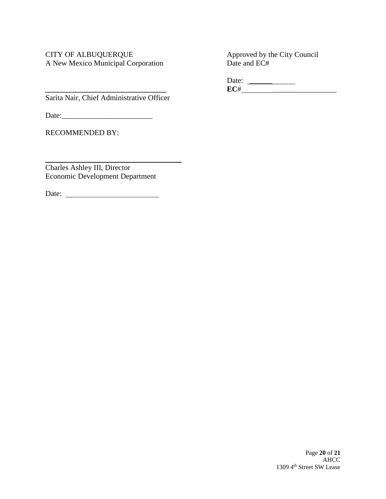# CITY OF ALBUQUERQUE<br>
A New Mexico Municipal Corporation<br>
Date and EC# A New Mexico Municipal Corporation

Date: \_\_\_\_\_\_ **\_\_\_\_\_\_\_\_\_\_\_\_\_\_\_\_\_\_\_\_\_\_\_\_\_\_\_\_\_\_\_\_ EC**# \_\_\_\_\_\_\_\_\_\_\_\_\_\_\_\_\_

Sarita Nair, Chief Administrative Officer

Date:

RECOMMENDED BY:

Charles Ashley III, Director Economic Development Department

Date: